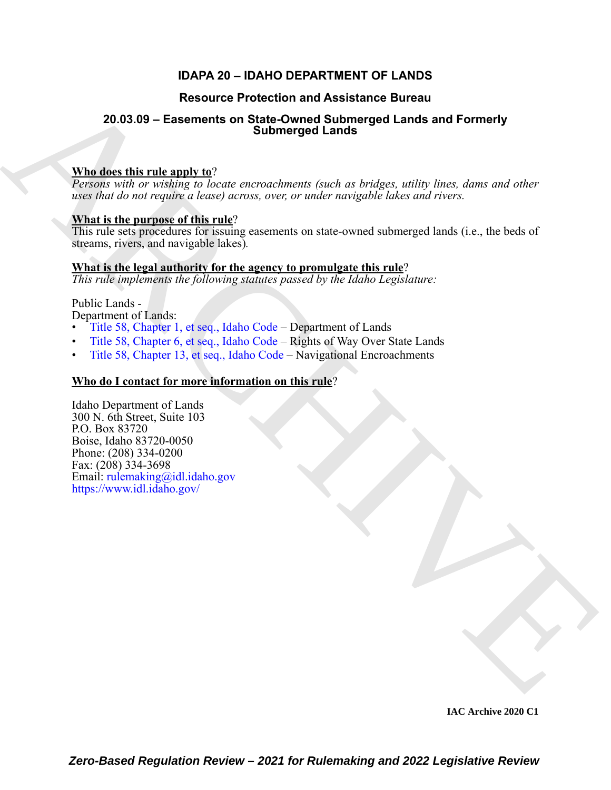### **IDAPA 20 – IDAHO DEPARTMENT OF LANDS**

### **Resource Protection and Assistance Bureau**

## **20.03.09 – Easements on State-Owned Submerged Lands and Formerly Submerged Lands**

#### **Who does this rule apply to**?

*Persons with or wishing to locate encroachments (such as bridges, utility lines, dams and other uses that do not require a lease) across, over, or under navigable lakes and rivers.*

### **What is the purpose of this rule**?

This rule sets procedures for issuing easements on state-owned submerged lands (i.e., the beds of streams, rivers, and navigable lakes)*.*

#### **What is the legal authority for the agency to promulgate this rule**?

*This rule implements the following statutes passed by the Idaho Legislature:*

#### Public Lands -

Department of Lands:

- Title 58, Chapter 1, et seq., Idaho Code Department of Lands
- Title 58, Chapter 6, et seq., Idaho Code Rights of Way Over State Lands
- Title 58, Chapter 13, et seq., Idaho Code Navigational Encroachments

#### **Who do I contact for more information on this rule**?

Resource Protection and Assistance Bureau<br>
20.03.09 – Easements on State Owner Summerged Lands and Formerly<br>
Who does the right and protection and the correspondence (seek as bridge, volky lose, does and other<br>
case the d Idaho Department of Lands 300 N. 6th Street, Suite 103 P.O. Box 83720 Boise, Idaho 83720-0050 Phone: (208) 334-0200 Fax: (208) 334-3698 Email: rulemaking@idl.idaho.gov https://www.idl.idaho.gov/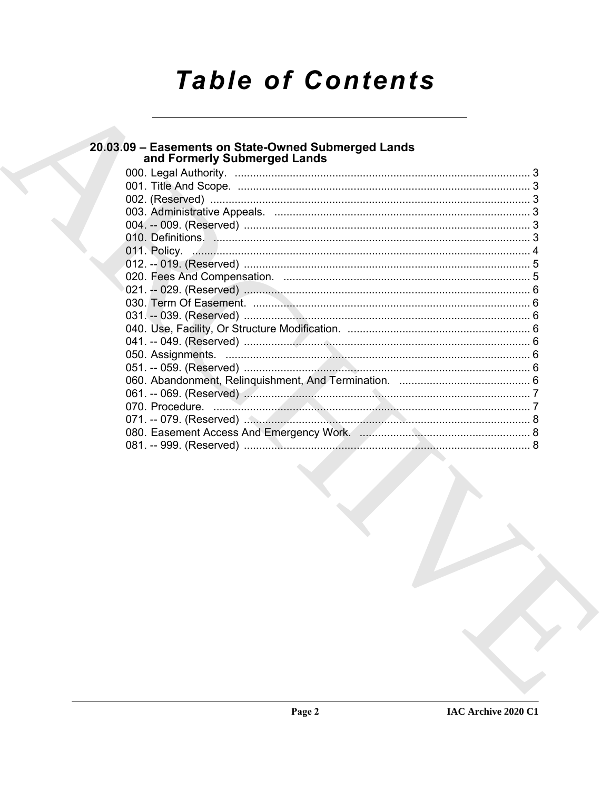# **Table of Contents**

## 20.03.09 - Easements on State-Owned Submerged Lands<br>and Formerly Submerged Lands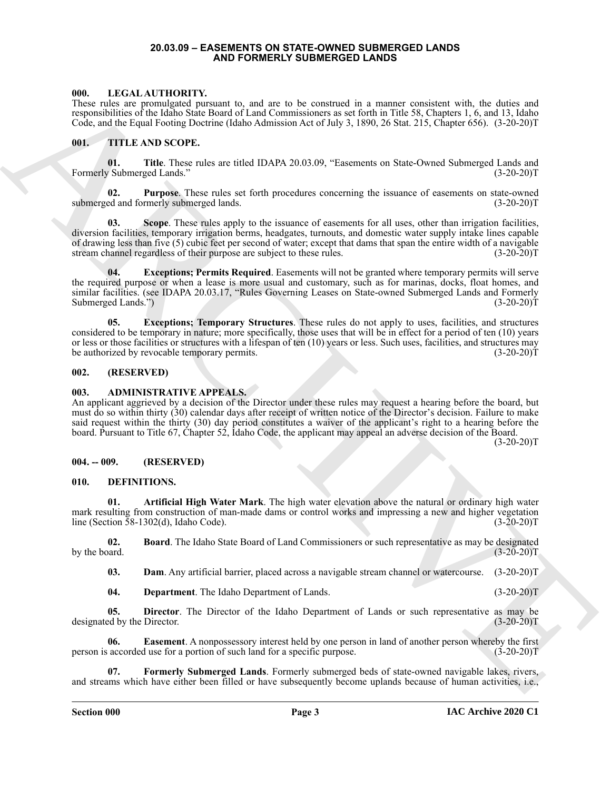#### **20.03.09 – EASEMENTS ON STATE-OWNED SUBMERGED LANDS AND FORMERLY SUBMERGED LANDS**

#### <span id="page-2-16"></span><span id="page-2-1"></span><span id="page-2-0"></span>**000. LEGAL AUTHORITY.**

These rules are promulgated pursuant to, and are to be construed in a manner consistent with, the duties and responsibilities of the Idaho State Board of Land Commissioners as set forth in Title 58, Chapters 1, 6, and 13, Idaho Code, and the Equal Footing Doctrine (Idaho Admission Act of July 3, 1890, 26 Stat. 215, Chapter 656). (3-20-20)T

#### <span id="page-2-17"></span><span id="page-2-2"></span>**001. TITLE AND SCOPE.**

**01. Title**. These rules are titled IDAPA 20.03.09, "Easements on State-Owned Submerged Lands and Formerly Submerged Lands." (3-20-20)T

**02.** Purpose. These rules set forth procedures concerning the issuance of easements on state-owned ed and formerly submerged lands. (3-20-20)<sup>T</sup> submerged and formerly submerged lands.

600. Interference behind TV control to the section of the trace of the control to the section with the section of the section of the section of the section of the section of the section of the section of the section of th **03.** Scope. These rules apply to the issuance of easements for all uses, other than irrigation facilities, diversion facilities, temporary irrigation berms, headgates, turnouts, and domestic water supply intake lines capable of drawing less than five (5) cubic feet per second of water; except that dams that span the entire width of a navigable stream channel regardless of their purpose are subject to these rules. (3-20-20)T

**04. Exceptions; Permits Required**. Easements will not be granted where temporary permits will serve the required purpose or when a lease is more usual and customary, such as for marinas, docks, float homes, and similar facilities. (see IDAPA 20.03.17, "Rules Governing Leases on State-owned Submerged Lands and Formerly Submerged Lands.") (3-20-20) Submerged Lands.")

**05. Exceptions; Temporary Structures**. These rules do not apply to uses, facilities, and structures considered to be temporary in nature; more specifically, those uses that will be in effect for a period of ten (10) years or less or those facilities or structures with a lifespan of ten (10) years or less. Such uses, facilities, and structures may be authorized by revocable temporary permits. (3-20-20)T

#### <span id="page-2-3"></span>**002. (RESERVED)**

#### <span id="page-2-7"></span><span id="page-2-4"></span>**003. ADMINISTRATIVE APPEALS.**

An applicant aggrieved by a decision of the Director under these rules may request a hearing before the board, but must do so within thirty (30) calendar days after receipt of written notice of the Director's decision. Failure to make said request within the thirty (30) day period constitutes a waiver of the applicant's right to a hearing before the board. Pursuant to Title 67, Chapter 52, Idaho Code, the applicant may appeal an adverse decision of the Board.

 $(3-20-20)T$ 

#### <span id="page-2-5"></span>**004. -- 009. (RESERVED)**

#### <span id="page-2-8"></span><span id="page-2-6"></span>**010. DEFINITIONS.**

<span id="page-2-9"></span>**01. Artificial High Water Mark**. The high water elevation above the natural or ordinary high water mark resulting from construction of man-made dams or control works and impressing a new and higher vegetation line (Section 58-1302(d), Idaho Code). (3-20-20)T

**02. Board**. The Idaho State Board of Land Commissioners or such representative as may be designated (3-20-20)T by the board.

<span id="page-2-11"></span><span id="page-2-10"></span>**03. Dam**. Any artificial barrier, placed across a navigable stream channel or watercourse. (3-20-20)T

<span id="page-2-14"></span><span id="page-2-13"></span><span id="page-2-12"></span>**04. Department**. The Idaho Department of Lands. (3-20-20)T

**05. Director**. The Director of the Idaho Department of Lands or such representative as may be ed by the Director. (3-20-20) designated by the Director.

**06. Easement**. A nonpossessory interest held by one person in land of another person whereby the first accorded use for a portion of such land for a specific purpose. (3-20-20) person is accorded use for a portion of such land for a specific purpose.

<span id="page-2-15"></span>**07. Formerly Submerged Lands**. Formerly submerged beds of state-owned navigable lakes, rivers, and streams which have either been filled or have subsequently become uplands because of human activities, i.e.,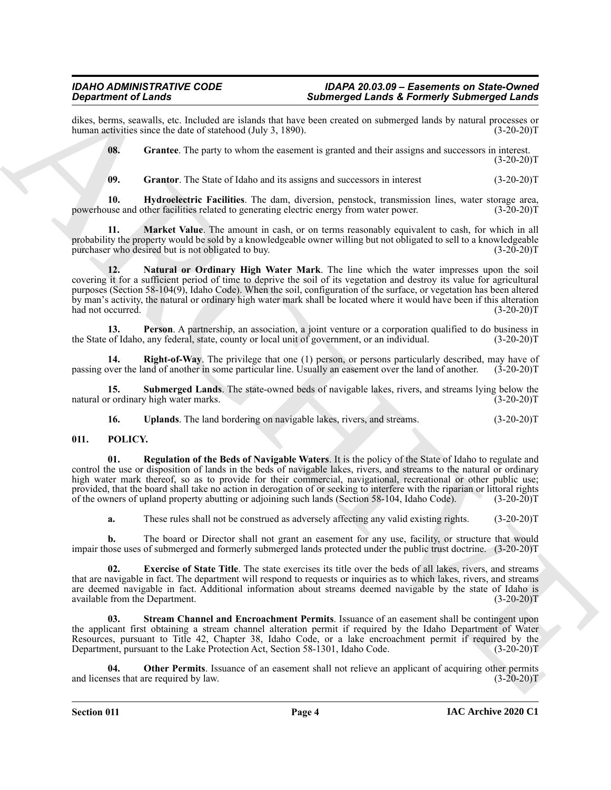dikes, berms, seawalls, etc. Included are islands that have been created on submerged lands by natural processes or human activities since the date of statehood (July 3, 1890). human activities since the date of statehood (July 3, 1890).

<span id="page-3-1"></span>**08.** Grantee. The party to whom the easement is granted and their assigns and successors in interest.  $(3-20-20)T$ 

<span id="page-3-4"></span><span id="page-3-3"></span><span id="page-3-2"></span>**09.** Grantor. The State of Idaho and its assigns and successors in interest (3-20-20)T

**10. Hydroelectric Facilities**. The dam, diversion, penstock, transmission lines, water storage area, powerhouse and other facilities related to generating electric energy from water power. (3-20-20)T

<span id="page-3-5"></span>**11. Market Value**. The amount in cash, or on terms reasonably equivalent to cash, for which in all probability the property would be sold by a knowledgeable owner willing but not obligated to sell to a knowledgeable purchaser who desired but is not obligated to buy. (3-20-20)T

Gaparhenic of Learn-1 and the state of the state of the state of the state of the state of the state of the state of the state of the state of the state of the state of the state of the state of the state of the state of **12. Natural or Ordinary High Water Mark**. The line which the water impresses upon the soil covering it for a sufficient period of time to deprive the soil of its vegetation and destroy its value for agricultural purposes (Section 58-104(9), Idaho Code). When the soil, configuration of the surface, or vegetation has been altered by man's activity, the natural or ordinary high water mark shall be located where it would have been if this alteration had not occurred. (3-20-20)T

<span id="page-3-6"></span>**13. Person**. A partnership, an association, a joint venture or a corporation qualified to do business in of Idaho, any federal, state, county or local unit of government, or an individual. (3-20-20) the State of Idaho, any federal, state, county or local unit of government, or an individual.

<span id="page-3-7"></span>**14. Right-of-Way**. The privilege that one (1) person, or persons particularly described, may have of over the land of another in some particular line. Usually an easement over the land of another. (3-20-20)T passing over the land of another in some particular line. Usually an easement over the land of another.

**15. Submerged Lands**. The state-owned beds of navigable lakes, rivers, and streams lying below the r ordinary high water marks. (3-20-20) natural or ordinary high water marks.

<span id="page-3-13"></span><span id="page-3-10"></span><span id="page-3-9"></span><span id="page-3-8"></span>**16.** Uplands. The land bordering on navigable lakes, rivers, and streams. (3-20-20)T

#### <span id="page-3-0"></span>**011. POLICY.**

**01. Regulation of the Beds of Navigable Waters**. It is the policy of the State of Idaho to regulate and control the use or disposition of lands in the beds of navigable lakes, rivers, and streams to the natural or ordinary high water mark thereof, so as to provide for their commercial, navigational, recreational or other public use; provided, that the board shall take no action in derogation of or seeking to interfere with the riparian or littoral rights of the owners of upland property abutting or adjoining such lands (Section 58-104, Idaho Code). (3-20-20)T

<span id="page-3-11"></span>**a.** These rules shall not be construed as adversely affecting any valid existing rights. (3-20-20)T

**b.** The board or Director shall not grant an easement for any use, facility, or structure that would impair those uses of submerged and formerly submerged lands protected under the public trust doctrine. (3-20-20)T

**02. Exercise of State Title**. The state exercises its title over the beds of all lakes, rivers, and streams that are navigable in fact. The department will respond to requests or inquiries as to which lakes, rivers, and streams are deemed navigable in fact. Additional information about streams deemed navigable by the state of Idaho is available from the Department. (3-20-20) available from the Department.

<span id="page-3-14"></span>**03. Stream Channel and Encroachment Permits**. Issuance of an easement shall be contingent upon the applicant first obtaining a stream channel alteration permit if required by the Idaho Department of Water Resources, pursuant to Title 42, Chapter 38, Idaho Code, or a lake encroachment permit if required by the Department, pursuant to the Lake Protection Act, Section 58-1301, Idaho Code. (3-20-20)T

<span id="page-3-12"></span>**Other Permits**. Issuance of an easement shall not relieve an applicant of acquiring other permits ire required by law. (3-20-20) and licenses that are required by law.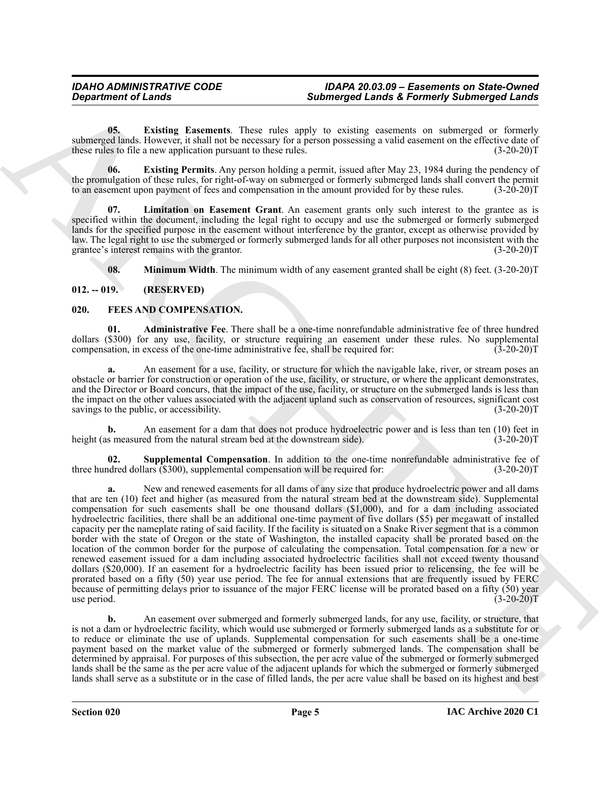<span id="page-4-5"></span>**05. Existing Easements**. These rules apply to existing easements on submerged or formerly submerged lands. However, it shall not be necessary for a person possessing a valid easement on the effective date of these rules to file a new application pursuant to these rules. (3-20-20) these rules to file a new application pursuant to these rules.

<span id="page-4-6"></span>**06. Existing Permits**. Any person holding a permit, issued after May 23, 1984 during the pendency of the promulgation of these rules, for right-of-way on submerged or formerly submerged lands shall convert the permit to an easement upon payment of fees and compensation in the amount provided for by these rules. (3-20-20)T

<span id="page-4-7"></span>**Limitation on Easement Grant**. An easement grants only such interest to the grantee as is specified within the document, including the legal right to occupy and use the submerged or formerly submerged lands for the specified purpose in the easement without interference by the grantor, except as otherwise provided by law. The legal right to use the submerged or formerly submerged lands for all other purposes not inconsistent with the grantee's interest remains with the grantor. (3-20-20)T

<span id="page-4-8"></span><span id="page-4-3"></span><span id="page-4-2"></span>**08. Minimum Width**. The minimum width of any easement granted shall be eight (8) feet. (3-20-20)T

#### <span id="page-4-0"></span>**012. -- 019. (RESERVED)**

#### <span id="page-4-1"></span>**020. FEES AND COMPENSATION.**

**01. Administrative Fee**. There shall be a one-time nonrefundable administrative fee of three hundred dollars (\$300) for any use, facility, or structure requiring an easement under these rules. No supplemental compensation, in excess of the one-time administrative fee, shall be required for: (3-20-20) compensation, in excess of the one-time administrative fee, shall be required for:

**a.** An easement for a use, facility, or structure for which the navigable lake, river, or stream poses an obstacle or barrier for construction or operation of the use, facility, or structure, or where the applicant demonstrates, and the Director or Board concurs, that the impact of the use, facility, or structure on the submerged lands is less than the impact on the other values associated with the adjacent upland such as conservation of resources, significant cost savings to the public, or accessibility. (3-20-20) savings to the public, or accessibility.

**b.** An easement for a dam that does not produce hydroelectric power and is less than ten (10) feet in s measured from the natural stream bed at the downstream side).  $(3-20-20)T$ height (as measured from the natural stream bed at the downstream side).

<span id="page-4-4"></span>**02.** Supplemental Compensation. In addition to the one-time nonrefundable administrative fee of dred dollars (\$300), supplemental compensation will be required for: (3-20-20)<sup>T</sup> three hundred dollars (\$300), supplemental compensation will be required for:

Submission of Lenda<br>
Submission Control of the same state with the same state and submission commutes and submission of the same state of the same state and the same state and the same state and the same state and the sam **a.** New and renewed easements for all dams of any size that produce hydroelectric power and all dams that are ten (10) feet and higher (as measured from the natural stream bed at the downstream side). Supplemental compensation for such easements shall be one thousand dollars (\$1,000), and for a dam including associated hydroelectric facilities, there shall be an additional one-time payment of five dollars (\$5) per megawatt of installed capacity per the nameplate rating of said facility. If the facility is situated on a Snake River segment that is a common border with the state of Oregon or the state of Washington, the installed capacity shall be prorated based on the location of the common border for the purpose of calculating the compensation. Total compensation for a new or renewed easement issued for a dam including associated hydroelectric facilities shall not exceed twenty thousand dollars (\$20,000). If an easement for a hydroelectric facility has been issued prior to relicensing, the fee will be prorated based on a fifty (50) year use period. The fee for annual extensions that are frequently issued by FERC because of permitting delays prior to issuance of the major FERC license will be prorated based on a fifty (50) year<br>(3-20-20)T use period. (3-20-20)T

**b.** An easement over submerged and formerly submerged lands, for any use, facility, or structure, that is not a dam or hydroelectric facility, which would use submerged or formerly submerged lands as a substitute for or to reduce or eliminate the use of uplands. Supplemental compensation for such easements shall be a one-time payment based on the market value of the submerged or formerly submerged lands. The compensation shall be determined by appraisal. For purposes of this subsection, the per acre value of the submerged or formerly submerged lands shall be the same as the per acre value of the adjacent uplands for which the submerged or formerly submerged lands shall serve as a substitute or in the case of filled lands, the per acre value shall be based on its highest and best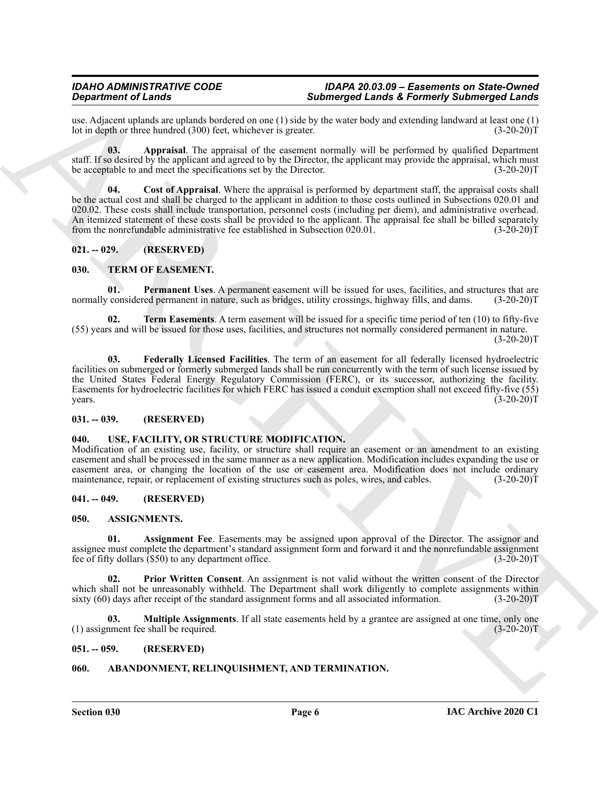#### *IDAHO ADMINISTRATIVE CODE IDAPA 20.03.09 – Easements on State-Owned* **Submerged Lands & Formerly Submerged Lands**

use. Adjacent uplands are uplands bordered on one  $(1)$  side by the water body and extending landward at least one  $(1)$  lot in depth or three hundred  $(300)$  feet, whichever is greater.  $(3-20-20)$ lot in depth or three hundred (300) feet, whichever is greater.

<span id="page-5-13"></span>**03. Appraisal**. The appraisal of the easement normally will be performed by qualified Department staff. If so desired by the applicant and agreed to by the Director, the applicant may provide the appraisal, which must<br>be acceptable to and meet the specifications set by the Director. (3-20-20) be acceptable to and meet the specifications set by the Director.

<span id="page-5-14"></span>**04. Cost of Appraisal**. Where the appraisal is performed by department staff, the appraisal costs shall be the actual cost and shall be charged to the applicant in addition to those costs outlined in Subsections 020.01 and 020.02. These costs shall include transportation, personnel costs (including per diem), and administrative overhead. An itemized statement of these costs shall be provided to the applicant. The appraisal fee shall be billed separately from the nonrefundable administrative fee established in Subsection 020.01. (3-20-20)T from the nonrefundable administrative fee established in Subsection 020.01.

#### <span id="page-5-0"></span>**021. -- 029. (RESERVED)**

#### <span id="page-5-15"></span><span id="page-5-1"></span>**030. TERM OF EASEMENT.**

<span id="page-5-17"></span>**Permanent Uses**. A permanent easement will be issued for uses, facilities, and structures that are normally considered permanent in nature, such as bridges, utility crossings, highway fills, and dams. (3-20-20)T

<span id="page-5-18"></span><span id="page-5-16"></span>**02. Term Easements**. A term easement will be issued for a specific time period of ten (10) to fifty-five (55) years and will be issued for those uses, facilities, and structures not normally considered permanent in nature.  $(3-20-20)T$ 

**Stationer of Lensing Constraints Constraint Constraint Constraint Constraint Constraint Constraint Constraint Constraint Constraint Constraint Constraint Constraint Constraint Constraint Constraint Constraint Constraint 03. Federally Licensed Facilities**. The term of an easement for all federally licensed hydroelectric facilities on submerged or formerly submerged lands shall be run concurrently with the term of such license issued by the United States Federal Energy Regulatory Commission (FERC), or its successor, authorizing the facility. Easements for hydroelectric facilities for which FERC has issued a conduit exemption shall not exceed fifty-five (55)  $years.$  (3-20-20)T

#### <span id="page-5-2"></span>**031. -- 039. (RESERVED)**

#### <span id="page-5-19"></span><span id="page-5-3"></span>**040. USE, FACILITY, OR STRUCTURE MODIFICATION.**

Modification of an existing use, facility, or structure shall require an easement or an amendment to an existing easement and shall be processed in the same manner as a new application. Modification includes expanding the use or easement area, or changing the location of the use or easement area. Modification does not include ordinary maintenance, repair, or replacement of existing structures such as poles, wires, and cables. (3-20-20) maintenance, repair, or replacement of existing structures such as poles, wires, and cables.

#### <span id="page-5-4"></span>**041. -- 049. (RESERVED)**

#### <span id="page-5-9"></span><span id="page-5-5"></span>**050. ASSIGNMENTS.**

<span id="page-5-10"></span>**01. Assignment Fee**. Easements may be assigned upon approval of the Director. The assignor and assignee must complete the department's standard assignment form and forward it and the nonrefundable assignment<br>fee of fifty dollars (\$50) to any department office. (3-20-20) fee of fifty dollars  $(S50)$  to any department office.

<span id="page-5-12"></span>**Prior Written Consent**. An assignment is not valid without the written consent of the Director which shall not be unreasonably withheld. The Department shall work diligently to complete assignments within sixty (60) days after receipt of the standard assignment forms and all associated information. (3-20-20)T sixty  $(60)$  days after receipt of the standard assignment forms and all associated information.

<span id="page-5-11"></span>**03. Multiple Assignments**. If all state easements held by a grantee are assigned at one time, only one (1) assignment fee shall be required. (3-20-20)T

#### <span id="page-5-6"></span>**051. -- 059. (RESERVED)**

#### <span id="page-5-8"></span><span id="page-5-7"></span>**060. ABANDONMENT, RELINQUISHMENT, AND TERMINATION.**

**Section 030 Page 6**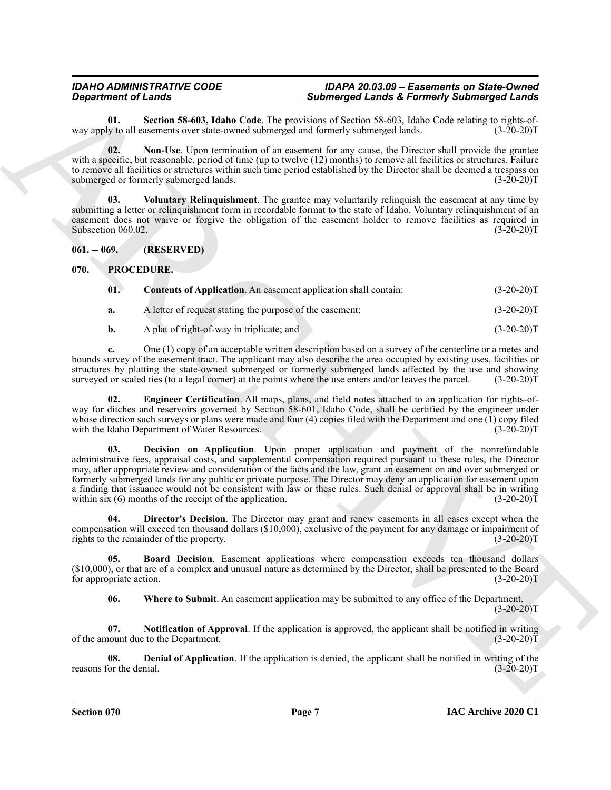#### *IDAHO ADMINISTRATIVE CODE IDAPA 20.03.09 – Easements on State-Owned* **Submerged Lands & Formerly Submerged Lands**

<span id="page-6-3"></span>**01. Section 58-603, Idaho Code**. The provisions of Section 58-603, Idaho Code relating to rights-ofway apply to all easements over state-owned submerged and formerly submerged lands.

<span id="page-6-2"></span>**02. Non-Use**. Upon termination of an easement for any cause, the Director shall provide the grantee with a specific, but reasonable, period of time (up to twelve (12) months) to remove all facilities or structures. Failure to remove all facilities or structures within such time period established by the Director shall be deemed a trespass on submerged or formerly submerged lands.  $(3-20-20)$ submerged or formerly submerged lands.

<span id="page-6-4"></span>**03. Voluntary Relinquishment**. The grantee may voluntarily relinquish the easement at any time by submitting a letter or relinquishment form in recordable format to the state of Idaho. Voluntary relinquishment of an easement does not waive or forgive the obligation of the easement holder to remove facilities as required in Subsection 060.02. (3-20-20) Subsection 060.02.

<span id="page-6-0"></span>**061. -- 069. (RESERVED)**

#### <span id="page-6-1"></span>**070. PROCEDURE.**

<span id="page-6-7"></span><span id="page-6-5"></span>

| 01. | <b>Contents of Application.</b> An easement application shall contain: | $(3-20-20)T$ |
|-----|------------------------------------------------------------------------|--------------|
|     | A letter of request stating the purpose of the easement;               | $(3-20-20)T$ |

<span id="page-6-11"></span>**b.** A plat of right-of-way in triplicate; and (3-20-20)T

**c.** One (1) copy of an acceptable written description based on a survey of the centerline or a metes and bounds survey of the easement tract. The applicant may also describe the area occupied by existing uses, facilities or structures by platting the state-owned submerged or formerly submerged lands affected by the use and showing surveyed or scaled ties (to a legal corner) at the points where the use enters and/or leaves the parcel. (3-20-20)T

<span id="page-6-8"></span>**02. Engineer Certification**. All maps, plans, and field notes attached to an application for rights-ofway for ditches and reservoirs governed by Section 58-601, Idaho Code, shall be certified by the engineer under whose direction such surveys or plans were made and four (4) copies filed with the Department and one (1) copy filed<br>with the Idaho Department of Water Resources. (3-20-20) with the Idaho Department of Water Resources.

**Singularized California (Section 14 Considered California (Section 14 Considered California (Section 14 Considered California (Section 14 Considered California (Section 14 Considered California (Section 14 Considered Cal 03. Decision on Application**. Upon proper application and payment of the nonrefundable administrative fees, appraisal costs, and supplemental compensation required pursuant to these rules, the Director may, after appropriate review and consideration of the facts and the law, grant an easement on and over submerged or formerly submerged lands for any public or private purpose. The Director may deny an application for easement upon a finding that issuance would not be consistent with law or these rules. Such denial or approval shall be in writing within six (6) months of the receipt of the application. (3-20-20)T

<span id="page-6-10"></span>**04. Director's Decision**. The Director may grant and renew easements in all cases except when the compensation will exceed ten thousand dollars (\$10,000), exclusive of the payment for any damage or impairment of rights to the remainder of the property. (3-20-20)T

**05. Board Decision**. Easement applications where compensation exceeds ten thousand dollars (\$10,000), or that are of a complex and unusual nature as determined by the Director, shall be presented to the Board for appropriate action. (3-20-20)T

<span id="page-6-13"></span><span id="page-6-12"></span><span id="page-6-9"></span><span id="page-6-6"></span>**06. Where to Submit**. An easement application may be submitted to any office of the Department.  $(3-20-20)T$ 

**07. Notification of Approval**. If the application is approved, the applicant shall be notified in writing nount due to the Department. (3-20-20) of the amount due to the Department.

**08. Denial of Application**. If the application is denied, the applicant shall be notified in writing of the denial. (3-20-20) reasons for the denial.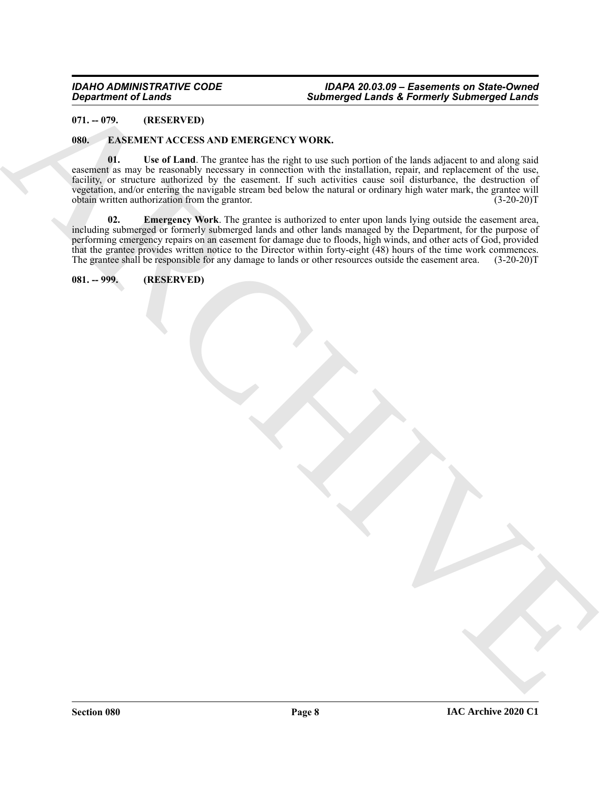#### <span id="page-7-0"></span>**071. -- 079. (RESERVED)**

#### <span id="page-7-5"></span><span id="page-7-3"></span><span id="page-7-1"></span>**080. EASEMENT ACCESS AND EMERGENCY WORK.**

 $Q$  is a strong of Lemma<br>  $Q$  is a strong to  $\alpha$  is a strong of  $\alpha$  is a strong of  $\alpha$  is a strong of  $\alpha$  is a strong of  $\alpha$  is a strong of  $\alpha$  is a strong of  $\alpha$  is a strong of  $\alpha$  is a strong of  $\alpha$  is a strong **01. Use of Land**. The grantee has the right to use such portion of the lands adjacent to and along said easement as may be reasonably necessary in connection with the installation, repair, and replacement of the use, facility, or structure authorized by the easement. If such activities cause soil disturbance, the destruction of vegetation, and/or entering the navigable stream bed below the natural or ordinary high water mark, the grantee will obtain written authorization from the grantor.

<span id="page-7-4"></span>**02. Emergency Work**. The grantee is authorized to enter upon lands lying outside the easement area, including submerged or formerly submerged lands and other lands managed by the Department, for the purpose of performing emergency repairs on an easement for damage due to floods, high winds, and other acts of God, provided that the grantee provides written notice to the Director within forty-eight (48) hours of the time work commences. The grantee shall be responsible for any damage to lands or other resources outside the easement area. (3-20-20)T

<span id="page-7-2"></span>**081. -- 999. (RESERVED)**